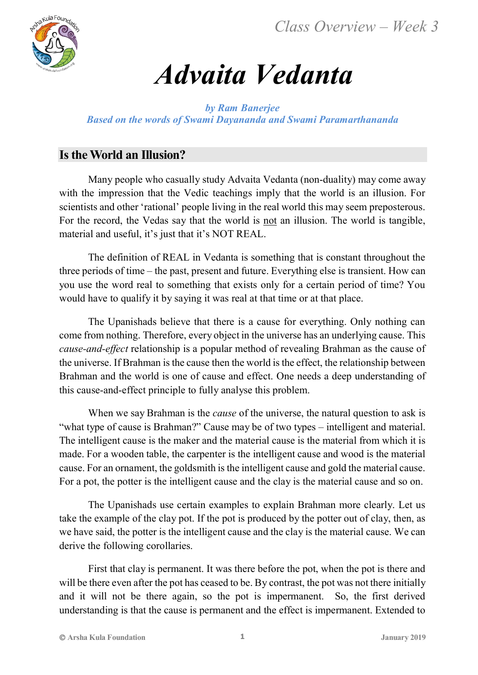*Class Overview – Week 3*



# *Advaita Vedanta*

*by Ram Banerjee Based on the words of Swami Dayananda and Swami Paramarthananda*

## **Is the World an Illusion?**

Many people who casually study Advaita Vedanta (non-duality) may come away with the impression that the Vedic teachings imply that the world is an illusion. For scientists and other 'rational' people living in the real world this may seem preposterous. For the record, the Vedas say that the world is not an illusion. The world is tangible, material and useful, it's just that it's NOT REAL.

The definition of REAL in Vedanta is something that is constant throughout the three periods of time – the past, present and future. Everything else is transient. How can you use the word real to something that exists only for a certain period of time? You would have to qualify it by saying it was real at that time or at that place.

The Upanishads believe that there is a cause for everything. Only nothing can come from nothing. Therefore, every object in the universe has an underlying cause. This *cause-and-effect* relationship is a popular method of revealing Brahman as the cause of the universe. If Brahman is the cause then the world is the effect, the relationship between Brahman and the world is one of cause and effect. One needs a deep understanding of this cause-and-effect principle to fully analyse this problem.

When we say Brahman is the *cause* of the universe, the natural question to ask is "what type of cause is Brahman?" Cause may be of two types – intelligent and material. The intelligent cause is the maker and the material cause is the material from which it is made. For a wooden table, the carpenter is the intelligent cause and wood is the material cause. For an ornament, the goldsmith is the intelligent cause and gold the material cause. For a pot, the potter is the intelligent cause and the clay is the material cause and so on.

The Upanishads use certain examples to explain Brahman more clearly. Let us take the example of the clay pot. If the pot is produced by the potter out of clay, then, as we have said, the potter is the intelligent cause and the clay is the material cause. We can derive the following corollaries.

First that clay is permanent. It was there before the pot, when the pot is there and will be there even after the pot has ceased to be. By contrast, the pot was not there initially and it will not be there again, so the pot is impermanent. So, the first derived understanding is that the cause is permanent and the effect is impermanent. Extended to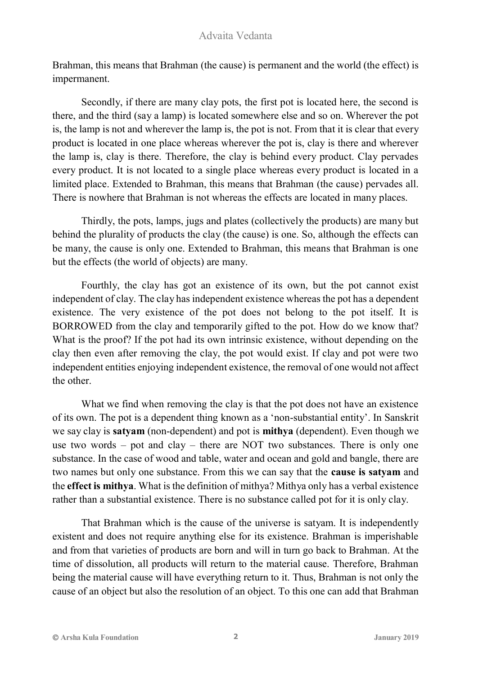Brahman, this means that Brahman (the cause) is permanent and the world (the effect) is impermanent.

Secondly, if there are many clay pots, the first pot is located here, the second is there, and the third (say a lamp) is located somewhere else and so on. Wherever the pot is, the lamp is not and wherever the lamp is, the pot is not. From that it is clear that every product is located in one place whereas wherever the pot is, clay is there and wherever the lamp is, clay is there. Therefore, the clay is behind every product. Clay pervades every product. It is not located to a single place whereas every product is located in a limited place. Extended to Brahman, this means that Brahman (the cause) pervades all. There is nowhere that Brahman is not whereas the effects are located in many places.

Thirdly, the pots, lamps, jugs and plates (collectively the products) are many but behind the plurality of products the clay (the cause) is one. So, although the effects can be many, the cause is only one. Extended to Brahman, this means that Brahman is one but the effects (the world of objects) are many.

Fourthly, the clay has got an existence of its own, but the pot cannot exist independent of clay. The clay has independent existence whereas the pot has a dependent existence. The very existence of the pot does not belong to the pot itself. It is BORROWED from the clay and temporarily gifted to the pot. How do we know that? What is the proof? If the pot had its own intrinsic existence, without depending on the clay then even after removing the clay, the pot would exist. If clay and pot were two independent entities enjoying independent existence, the removal of one would not affect the other.

What we find when removing the clay is that the pot does not have an existence of its own. The pot is a dependent thing known as a 'non-substantial entity'. In Sanskrit we say clay is **satyam** (non-dependent) and pot is **mithya** (dependent). Even though we use two words – pot and clay – there are NOT two substances. There is only one substance. In the case of wood and table, water and ocean and gold and bangle, there are two names but only one substance. From this we can say that the **cause is satyam** and the **effect is mithya**. What is the definition of mithya? Mithya only has a verbal existence rather than a substantial existence. There is no substance called pot for it is only clay.

That Brahman which is the cause of the universe is satyam. It is independently existent and does not require anything else for its existence. Brahman is imperishable and from that varieties of products are born and will in turn go back to Brahman. At the time of dissolution, all products will return to the material cause. Therefore, Brahman being the material cause will have everything return to it. Thus, Brahman is not only the cause of an object but also the resolution of an object. To this one can add that Brahman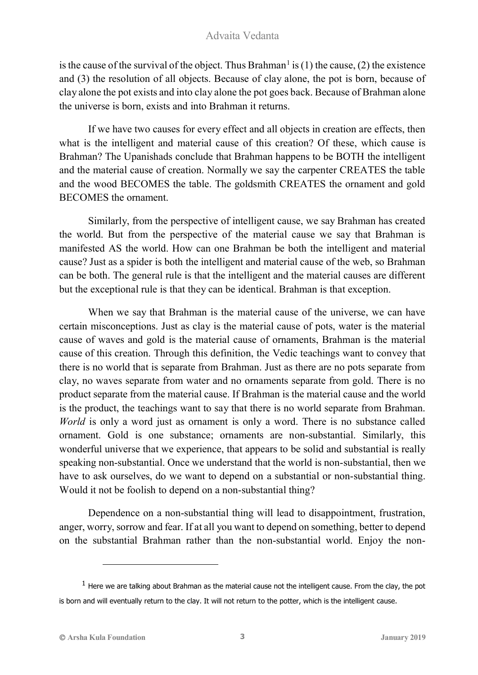is the cause of the survival of the object. Thus Brahman<sup>1</sup> is (1) the cause, (2) the existence and (3) the resolution of all objects. Because of clay alone, the pot is born, because of clay alone the pot exists and into clay alone the pot goes back. Because of Brahman alone the universe is born, exists and into Brahman it returns.

If we have two causes for every effect and all objects in creation are effects, then what is the intelligent and material cause of this creation? Of these, which cause is Brahman? The Upanishads conclude that Brahman happens to be BOTH the intelligent and the material cause of creation. Normally we say the carpenter CREATES the table and the wood BECOMES the table. The goldsmith CREATES the ornament and gold BECOMES the ornament.

Similarly, from the perspective of intelligent cause, we say Brahman has created the world. But from the perspective of the material cause we say that Brahman is manifested AS the world. How can one Brahman be both the intelligent and material cause? Just as a spider is both the intelligent and material cause of the web, so Brahman can be both. The general rule is that the intelligent and the material causes are different but the exceptional rule is that they can be identical. Brahman is that exception.

When we say that Brahman is the material cause of the universe, we can have certain misconceptions. Just as clay is the material cause of pots, water is the material cause of waves and gold is the material cause of ornaments, Brahman is the material cause of this creation. Through this definition, the Vedic teachings want to convey that there is no world that is separate from Brahman. Just as there are no pots separate from clay, no waves separate from water and no ornaments separate from gold. There is no product separate from the material cause. If Brahman is the material cause and the world is the product, the teachings want to say that there is no world separate from Brahman. *World* is only a word just as ornament is only a word. There is no substance called ornament. Gold is one substance; ornaments are non-substantial. Similarly, this wonderful universe that we experience, that appears to be solid and substantial is really speaking non-substantial. Once we understand that the world is non-substantial, then we have to ask ourselves, do we want to depend on a substantial or non-substantial thing. Would it not be foolish to depend on a non-substantial thing?

Dependence on a non-substantial thing will lead to disappointment, frustration, anger, worry, sorrow and fear. If at all you want to depend on something, better to depend on the substantial Brahman rather than the non-substantial world. Enjoy the non-

 $\overline{a}$ 

 $1$  Here we are talking about Brahman as the material cause not the intelligent cause. From the clay, the pot is born and will eventually return to the clay. It will not return to the potter, which is the intelligent cause.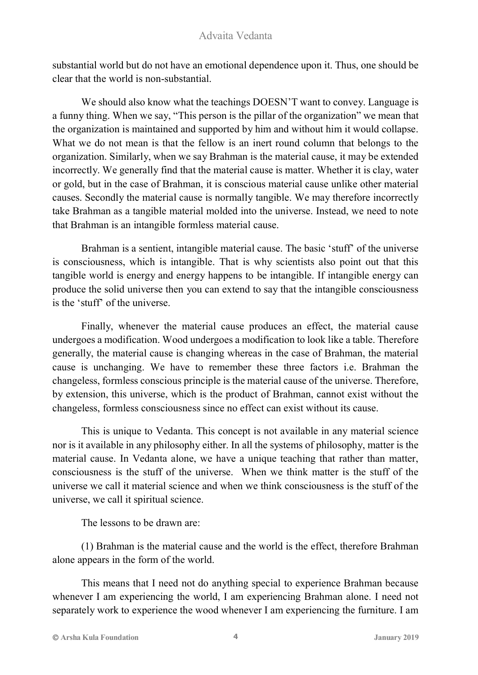substantial world but do not have an emotional dependence upon it. Thus, one should be clear that the world is non-substantial.

We should also know what the teachings DOESN'T want to convey. Language is a funny thing. When we say, "This person is the pillar of the organization" we mean that the organization is maintained and supported by him and without him it would collapse. What we do not mean is that the fellow is an inert round column that belongs to the organization. Similarly, when we say Brahman is the material cause, it may be extended incorrectly. We generally find that the material cause is matter. Whether it is clay, water or gold, but in the case of Brahman, it is conscious material cause unlike other material causes. Secondly the material cause is normally tangible. We may therefore incorrectly take Brahman as a tangible material molded into the universe. Instead, we need to note that Brahman is an intangible formless material cause.

Brahman is a sentient, intangible material cause. The basic 'stuff' of the universe is consciousness, which is intangible. That is why scientists also point out that this tangible world is energy and energy happens to be intangible. If intangible energy can produce the solid universe then you can extend to say that the intangible consciousness is the 'stuff' of the universe.

Finally, whenever the material cause produces an effect, the material cause undergoes a modification. Wood undergoes a modification to look like a table. Therefore generally, the material cause is changing whereas in the case of Brahman, the material cause is unchanging. We have to remember these three factors i.e. Brahman the changeless, formless conscious principle is the material cause of the universe. Therefore, by extension, this universe, which is the product of Brahman, cannot exist without the changeless, formless consciousness since no effect can exist without its cause.

This is unique to Vedanta. This concept is not available in any material science nor is it available in any philosophy either. In all the systems of philosophy, matter is the material cause. In Vedanta alone, we have a unique teaching that rather than matter, consciousness is the stuff of the universe. When we think matter is the stuff of the universe we call it material science and when we think consciousness is the stuff of the universe, we call it spiritual science.

The lessons to be drawn are:

(1) Brahman is the material cause and the world is the effect, therefore Brahman alone appears in the form of the world.

This means that I need not do anything special to experience Brahman because whenever I am experiencing the world, I am experiencing Brahman alone. I need not separately work to experience the wood whenever I am experiencing the furniture. I am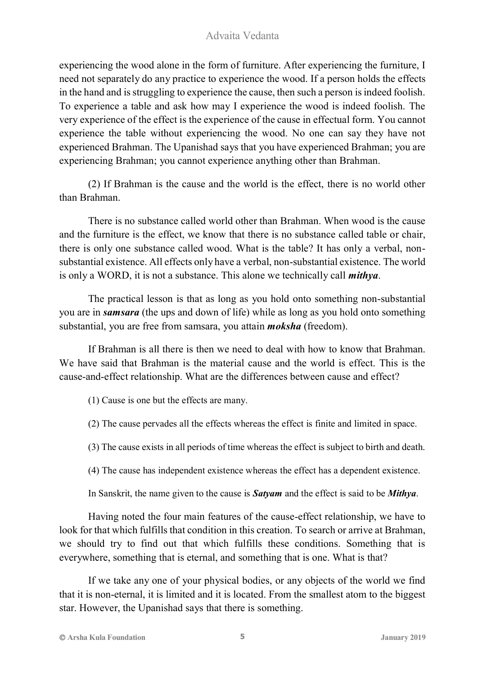experiencing the wood alone in the form of furniture. After experiencing the furniture, I need not separately do any practice to experience the wood. If a person holds the effects in the hand and is struggling to experience the cause, then such a person is indeed foolish. To experience a table and ask how may I experience the wood is indeed foolish. The very experience of the effect is the experience of the cause in effectual form. You cannot experience the table without experiencing the wood. No one can say they have not experienced Brahman. The Upanishad says that you have experienced Brahman; you are experiencing Brahman; you cannot experience anything other than Brahman.

(2) If Brahman is the cause and the world is the effect, there is no world other than Brahman.

There is no substance called world other than Brahman. When wood is the cause and the furniture is the effect, we know that there is no substance called table or chair, there is only one substance called wood. What is the table? It has only a verbal, nonsubstantial existence. All effects only have a verbal, non-substantial existence. The world is only a WORD, it is not a substance. This alone we technically call *mithya*.

The practical lesson is that as long as you hold onto something non-substantial you are in *samsara* (the ups and down of life) while as long as you hold onto something substantial, you are free from samsara, you attain *moksha* (freedom).

If Brahman is all there is then we need to deal with how to know that Brahman. We have said that Brahman is the material cause and the world is effect. This is the cause-and-effect relationship. What are the differences between cause and effect?

(1) Cause is one but the effects are many.

(2) The cause pervades all the effects whereas the effect is finite and limited in space.

(3) The cause exists in all periods of time whereas the effect is subject to birth and death.

(4) The cause has independent existence whereas the effect has a dependent existence.

In Sanskrit, the name given to the cause is *Satyam* and the effect is said to be *Mithya*.

Having noted the four main features of the cause-effect relationship, we have to look for that which fulfills that condition in this creation. To search or arrive at Brahman, we should try to find out that which fulfills these conditions. Something that is everywhere, something that is eternal, and something that is one. What is that?

If we take any one of your physical bodies, or any objects of the world we find that it is non-eternal, it is limited and it is located. From the smallest atom to the biggest star. However, the Upanishad says that there is something.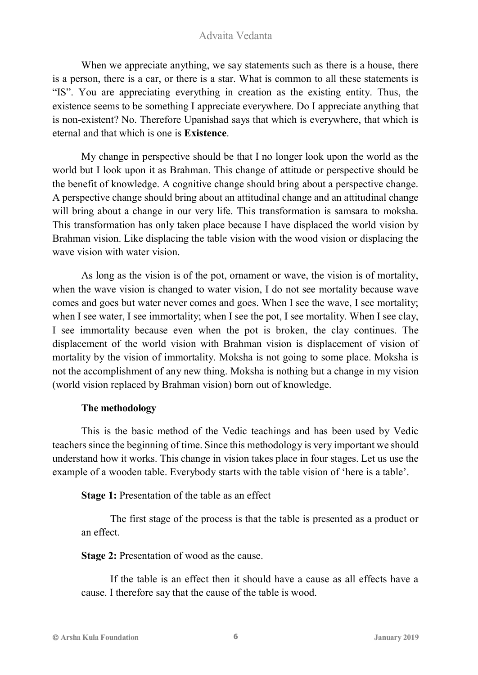When we appreciate anything, we say statements such as there is a house, there is a person, there is a car, or there is a star. What is common to all these statements is "IS". You are appreciating everything in creation as the existing entity. Thus, the existence seems to be something I appreciate everywhere. Do I appreciate anything that is non-existent? No. Therefore Upanishad says that which is everywhere, that which is eternal and that which is one is **Existence**.

My change in perspective should be that I no longer look upon the world as the world but I look upon it as Brahman. This change of attitude or perspective should be the benefit of knowledge. A cognitive change should bring about a perspective change. A perspective change should bring about an attitudinal change and an attitudinal change will bring about a change in our very life. This transformation is samsara to moksha. This transformation has only taken place because I have displaced the world vision by Brahman vision. Like displacing the table vision with the wood vision or displacing the wave vision with water vision.

As long as the vision is of the pot, ornament or wave, the vision is of mortality, when the wave vision is changed to water vision, I do not see mortality because wave comes and goes but water never comes and goes. When I see the wave, I see mortality; when I see water, I see immortality; when I see the pot, I see mortality. When I see clay, I see immortality because even when the pot is broken, the clay continues. The displacement of the world vision with Brahman vision is displacement of vision of mortality by the vision of immortality. Moksha is not going to some place. Moksha is not the accomplishment of any new thing. Moksha is nothing but a change in my vision (world vision replaced by Brahman vision) born out of knowledge.

#### **The methodology**

This is the basic method of the Vedic teachings and has been used by Vedic teachers since the beginning of time. Since this methodology is very important we should understand how it works. This change in vision takes place in four stages. Let us use the example of a wooden table. Everybody starts with the table vision of 'here is a table'.

**Stage 1:** Presentation of the table as an effect

The first stage of the process is that the table is presented as a product or an effect.

**Stage 2:** Presentation of wood as the cause.

If the table is an effect then it should have a cause as all effects have a cause. I therefore say that the cause of the table is wood.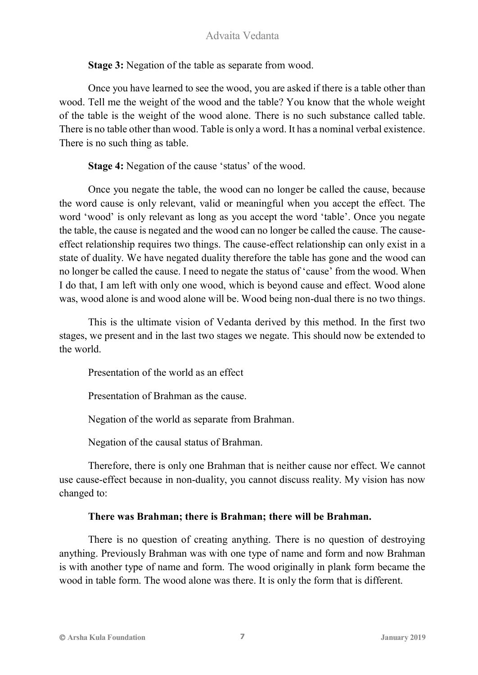**Stage 3:** Negation of the table as separate from wood.

Once you have learned to see the wood, you are asked if there is a table other than wood. Tell me the weight of the wood and the table? You know that the whole weight of the table is the weight of the wood alone. There is no such substance called table. There is no table other than wood. Table is only a word. It has a nominal verbal existence. There is no such thing as table.

**Stage 4:** Negation of the cause 'status' of the wood.

Once you negate the table, the wood can no longer be called the cause, because the word cause is only relevant, valid or meaningful when you accept the effect. The word 'wood' is only relevant as long as you accept the word 'table'. Once you negate the table, the cause is negated and the wood can no longer be called the cause. The causeeffect relationship requires two things. The cause-effect relationship can only exist in a state of duality. We have negated duality therefore the table has gone and the wood can no longer be called the cause. I need to negate the status of 'cause' from the wood. When I do that, I am left with only one wood, which is beyond cause and effect. Wood alone was, wood alone is and wood alone will be. Wood being non-dual there is no two things.

This is the ultimate vision of Vedanta derived by this method. In the first two stages, we present and in the last two stages we negate. This should now be extended to the world.

Presentation of the world as an effect

Presentation of Brahman as the cause.

Negation of the world as separate from Brahman.

Negation of the causal status of Brahman.

Therefore, there is only one Brahman that is neither cause nor effect. We cannot use cause-effect because in non-duality, you cannot discuss reality. My vision has now changed to:

#### **There was Brahman; there is Brahman; there will be Brahman.**

There is no question of creating anything. There is no question of destroying anything. Previously Brahman was with one type of name and form and now Brahman is with another type of name and form. The wood originally in plank form became the wood in table form. The wood alone was there. It is only the form that is different.